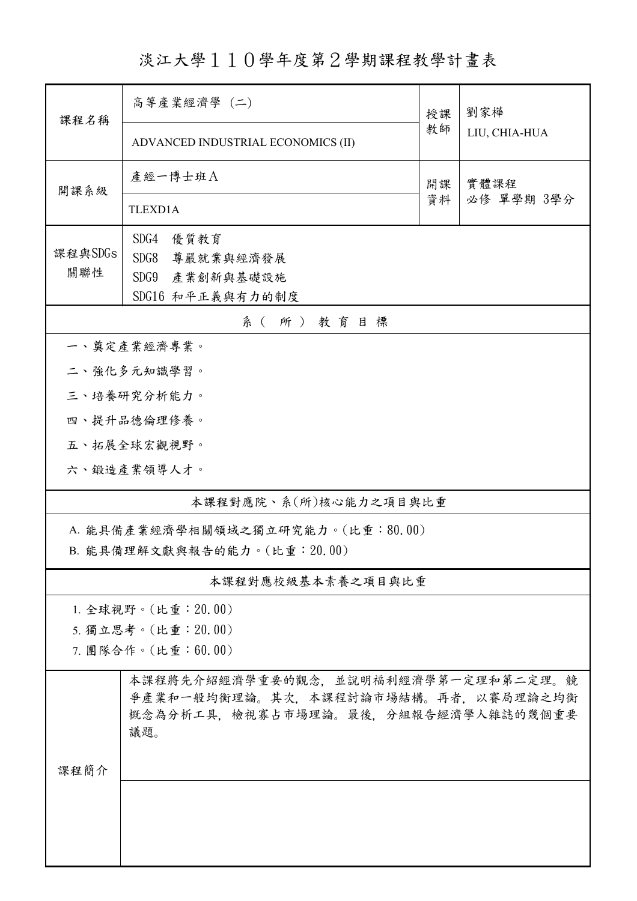淡江大學110學年度第2學期課程教學計畫表

| 課程名稱                         | 高等產業經濟學 (二)                                                                | 授課            | 劉家樺                |  |  |  |
|------------------------------|----------------------------------------------------------------------------|---------------|--------------------|--|--|--|
|                              | ADVANCED INDUSTRIAL ECONOMICS (II)                                         | LIU, CHIA-HUA |                    |  |  |  |
| 開課系級                         | 產經一博士班A                                                                    | 開課            | 實體課程<br>必修 單學期 3學分 |  |  |  |
|                              | <b>TLEXD1A</b>                                                             | 資料            |                    |  |  |  |
|                              | SDG4<br>優質教育                                                               |               |                    |  |  |  |
| 課程與SDGs<br>關聯性               | SDG8<br>尊嚴就業與經濟發展                                                          |               |                    |  |  |  |
|                              | SDG9 產業創新與基礎設施                                                             |               |                    |  |  |  |
|                              | SDG16 和平正義與有力的制度                                                           |               |                    |  |  |  |
| 系(所)教育目標<br>一、奠定產業經濟專業。      |                                                                            |               |                    |  |  |  |
|                              |                                                                            |               |                    |  |  |  |
| 二、強化多元知識學習。                  |                                                                            |               |                    |  |  |  |
| 三、培養研究分析能力。                  |                                                                            |               |                    |  |  |  |
| 四、提升品德倫理修養。<br>五、拓展全球宏觀視野。   |                                                                            |               |                    |  |  |  |
|                              | 六、鍛造產業領導人才。                                                                |               |                    |  |  |  |
|                              |                                                                            |               |                    |  |  |  |
| 本課程對應院、系(所)核心能力之項目與比重        |                                                                            |               |                    |  |  |  |
|                              | A. 能具備產業經濟學相關領域之獨立研究能力。(比重:80.00)                                          |               |                    |  |  |  |
| B. 能具備理解文獻與報告的能力。(比重: 20.00) |                                                                            |               |                    |  |  |  |
| 本課程對應校級基本素養之項目與比重            |                                                                            |               |                    |  |  |  |
| 1. 全球視野。(比重: 20.00)          |                                                                            |               |                    |  |  |  |
| 5. 獨立思考。(比重: 20.00)          |                                                                            |               |                    |  |  |  |
| 7. 團隊合作。(比重:60.00)           |                                                                            |               |                    |  |  |  |
| 課程簡介                         | 本課程將先介紹經濟學重要的觀念,並說明福利經濟學第一定理和第二定理。競<br>爭產業和一般均衡理論。其次,本課程討論市場結構。再者,以賽局理論之均衡 |               |                    |  |  |  |
|                              | 概念為分析工具,檢視寡占市場理論。最後,分組報告經濟學人雜誌的幾個重要<br>議題。                                 |               |                    |  |  |  |
|                              |                                                                            |               |                    |  |  |  |
|                              |                                                                            |               |                    |  |  |  |
|                              |                                                                            |               |                    |  |  |  |
|                              |                                                                            |               |                    |  |  |  |
|                              |                                                                            |               |                    |  |  |  |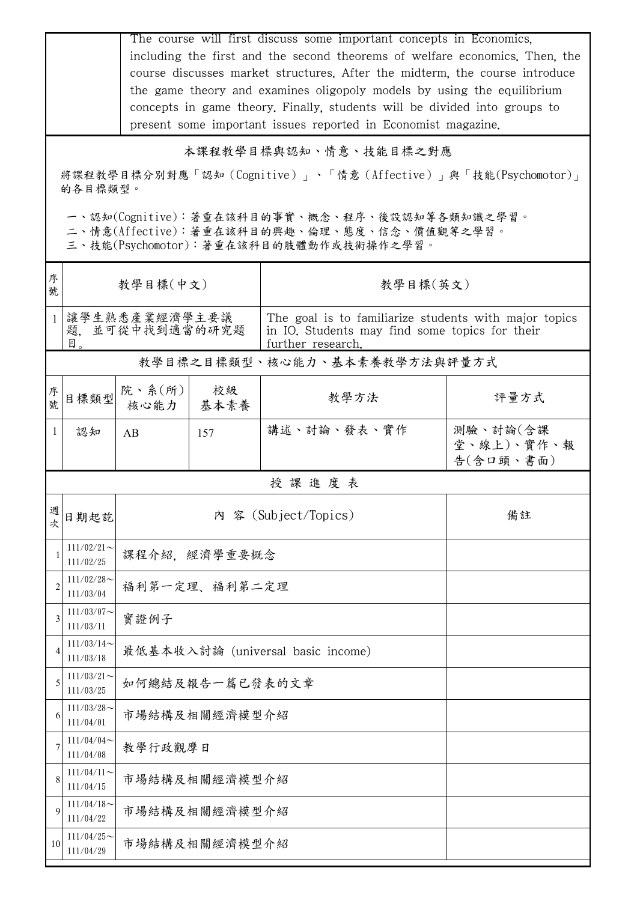|                                                                                                                                                                                                                                            |                            | The course will first discuss some important concepts in Economics,<br>including the first and the second theorems of welfare economics. Then, the<br>course discusses market structures. After the midterm, the course introduce<br>the game theory and examines oligopoly models by using the equilibrium<br>concepts in game theory. Finally, students will be divided into groups to<br>present some important issues reported in Economist magazine. |               |                                                                                                                              |                                     |  |  |
|--------------------------------------------------------------------------------------------------------------------------------------------------------------------------------------------------------------------------------------------|----------------------------|-----------------------------------------------------------------------------------------------------------------------------------------------------------------------------------------------------------------------------------------------------------------------------------------------------------------------------------------------------------------------------------------------------------------------------------------------------------|---------------|------------------------------------------------------------------------------------------------------------------------------|-------------------------------------|--|--|
| 本課程教學目標與認知、情意、技能目標之對應<br>將課程教學目標分別對應「認知(Cognitive)」、「情意(Affective)」與「技能(Psychomotor)」<br>的各目標類型。<br>一、認知(Cognitive):著重在該科目的事實、概念、程序、後設認知等各類知識之學習。<br>二、情意(Affective):著重在該科目的興趣、倫理、態度、信念、價值觀等之學習。<br>三、技能(Psychomotor):著重在該科目的肢體動作或技術操作之學習。 |                            |                                                                                                                                                                                                                                                                                                                                                                                                                                                           |               |                                                                                                                              |                                     |  |  |
| 序<br>號                                                                                                                                                                                                                                     | 教學目標(中文)                   |                                                                                                                                                                                                                                                                                                                                                                                                                                                           |               | 教學目標(英文)                                                                                                                     |                                     |  |  |
| $\mathbf{1}$                                                                                                                                                                                                                               | 目。                         | 讓學生熟悉產業經濟學主要議<br>題,並可從中找到適當的研究題                                                                                                                                                                                                                                                                                                                                                                                                                           |               | The goal is to familiarize students with major topics<br>in IO. Students may find some topics for their<br>further research. |                                     |  |  |
|                                                                                                                                                                                                                                            |                            |                                                                                                                                                                                                                                                                                                                                                                                                                                                           |               | 教學目標之目標類型、核心能力、基本素養教學方法與評量方式                                                                                                 |                                     |  |  |
| 序號                                                                                                                                                                                                                                         | 目標類型                       | 院、系(所)<br>核心能力                                                                                                                                                                                                                                                                                                                                                                                                                                            | 校級<br>基本素養    | 教學方法                                                                                                                         | 評量方式                                |  |  |
| $\mathbf{1}$                                                                                                                                                                                                                               | 認知                         | AB                                                                                                                                                                                                                                                                                                                                                                                                                                                        | 157           | 講述、討論、發表、實作                                                                                                                  | 測驗、討論(含課<br>堂、線上)、實作、報<br>告(含口頭、書面) |  |  |
| 授課進度表                                                                                                                                                                                                                                      |                            |                                                                                                                                                                                                                                                                                                                                                                                                                                                           |               |                                                                                                                              |                                     |  |  |
| 週次                                                                                                                                                                                                                                         | 日期起訖                       | 内 容 (Subject/Topics)<br>備註                                                                                                                                                                                                                                                                                                                                                                                                                                |               |                                                                                                                              |                                     |  |  |
|                                                                                                                                                                                                                                            | $111/02/21$ ~<br>111/02/25 | 課程介紹,經濟學重要概念                                                                                                                                                                                                                                                                                                                                                                                                                                              |               |                                                                                                                              |                                     |  |  |
| 2                                                                                                                                                                                                                                          | $111/02/28$ ~<br>111/03/04 | 福利第一定理、福利第二定理                                                                                                                                                                                                                                                                                                                                                                                                                                             |               |                                                                                                                              |                                     |  |  |
| 3                                                                                                                                                                                                                                          | $111/03/07$ ~<br>111/03/11 | 實證例子                                                                                                                                                                                                                                                                                                                                                                                                                                                      |               |                                                                                                                              |                                     |  |  |
| 4                                                                                                                                                                                                                                          | $111/03/14$ ~<br>111/03/18 | 最低基本收入討論 (universal basic income)                                                                                                                                                                                                                                                                                                                                                                                                                         |               |                                                                                                                              |                                     |  |  |
| 5                                                                                                                                                                                                                                          | $111/03/21$ ~<br>111/03/25 | 如何總結及報告一篇已發表的文章                                                                                                                                                                                                                                                                                                                                                                                                                                           |               |                                                                                                                              |                                     |  |  |
| 6                                                                                                                                                                                                                                          | $111/03/28$ ~<br>111/04/01 |                                                                                                                                                                                                                                                                                                                                                                                                                                                           | 市場結構及相關經濟模型介紹 |                                                                                                                              |                                     |  |  |
|                                                                                                                                                                                                                                            | 111/04/04<br>111/04/08     | 教學行政觀摩日                                                                                                                                                                                                                                                                                                                                                                                                                                                   |               |                                                                                                                              |                                     |  |  |
| 8                                                                                                                                                                                                                                          | $111/04/11$ ~<br>111/04/15 | 市場結構及相關經濟模型介紹                                                                                                                                                                                                                                                                                                                                                                                                                                             |               |                                                                                                                              |                                     |  |  |
| 9                                                                                                                                                                                                                                          | $111/04/18$ ~<br>111/04/22 | 市場結構及相關經濟模型介紹                                                                                                                                                                                                                                                                                                                                                                                                                                             |               |                                                                                                                              |                                     |  |  |
| 10                                                                                                                                                                                                                                         | $111/04/25$ ~<br>111/04/29 | 市場結構及相關經濟模型介紹                                                                                                                                                                                                                                                                                                                                                                                                                                             |               |                                                                                                                              |                                     |  |  |